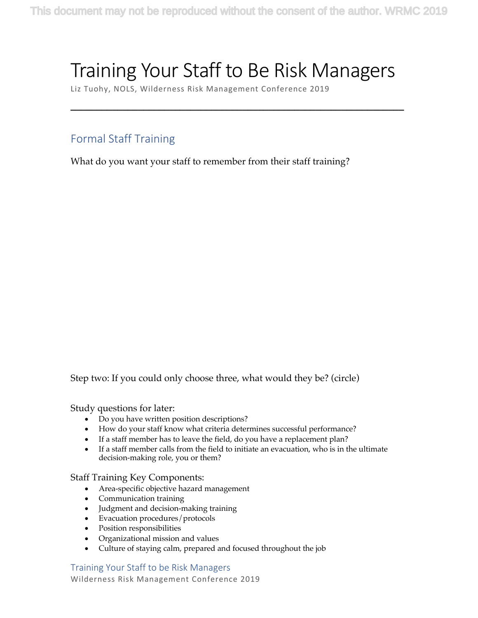# Training Your Staff to Be Risk Managers

**\_\_\_\_\_\_\_\_\_\_\_\_\_\_\_\_\_\_\_\_\_\_\_\_\_\_\_\_\_\_\_\_\_\_\_\_\_\_\_\_\_\_\_\_\_\_\_\_\_\_\_\_\_\_\_\_\_\_\_\_\_\_\_\_**

Liz Tuohy, NOLS, Wilderness Risk Management Conference 2019

# Formal Staff Training

What do you want your staff to remember from their staff training?

Step two: If you could only choose three, what would they be? (circle)

#### Study questions for later:

- Do you have written position descriptions?
- How do your staff know what criteria determines successful performance?
- If a staff member has to leave the field, do you have a replacement plan?
- If a staff member calls from the field to initiate an evacuation, who is in the ultimate decision-making role, you or them?

#### Staff Training Key Components:

- Area-specific objective hazard management
- Communication training
- Judgment and decision-making training
- Evacuation procedures/protocols
- Position responsibilities
- Organizational mission and values
- Culture of staying calm, prepared and focused throughout the job

Training Your Staff to be Risk Managers Wilderness Risk Management Conference 2019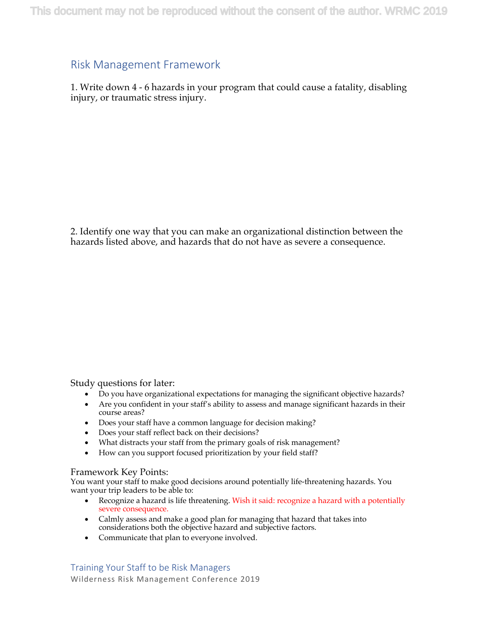## Risk Management Framework

1. Write down 4 - 6 hazards in your program that could cause a fatality, disabling injury, or traumatic stress injury.

2. Identify one way that you can make an organizational distinction between the hazards listed above, and hazards that do not have as severe a consequence.

#### Study questions for later:

- Do you have organizational expectations for managing the significant objective hazards?
- Are you confident in your staff's ability to assess and manage significant hazards in their course areas?
- Does your staff have a common language for decision making?
- Does your staff reflect back on their decisions?
- What distracts your staff from the primary goals of risk management?
- How can you support focused prioritization by your field staff?

#### Framework Key Points:

You want your staff to make good decisions around potentially life-threatening hazards. You want your trip leaders to be able to:

- Recognize a hazard is life threatening. Wish it said: recognize a hazard with a potentially severe consequence.
- Calmly assess and make a good plan for managing that hazard that takes into considerations both the objective hazard and subjective factors.
- Communicate that plan to everyone involved.

Training Your Staff to be Risk Managers Wilderness Risk Management Conference 2019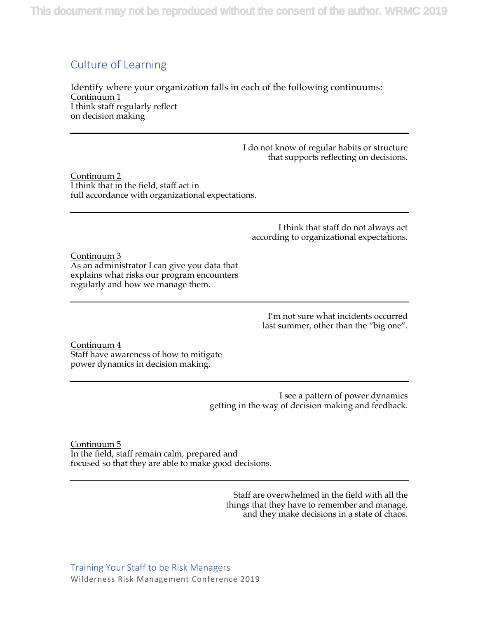## Culture of Learning

Identify where your organization falls in each of the following continuums: Continuum 1 I think staff regularly reflect on decision making

> I do not know of regular habits or structure that supports reflecting on decisions.

Continuum 2 I think that in the field, staff act in full accordance with organizational expectations.

> I think that staff do not always act according to organizational expectations.

Continuum 3 As an administrator I can give you data that explains what risks our program encounters regularly and how we manage them.

> I'm not sure what incidents occurred last summer, other than the "big one".

Continuum 4 Staff have awareness of how to mitigate power dynamics in decision making.

> I see a pattern of power dynamics getting in the way of decision making and feedback.

Continuum 5 In the field, staff remain calm, prepared and focused so that they are able to make good decisions.

> Staff are overwhelmed in the field with all the things that they have to remember and manage, and they make decisions in a state of chaos.

Training Your Staff to be Risk Managers Wilderness Risk Management Conference 2019